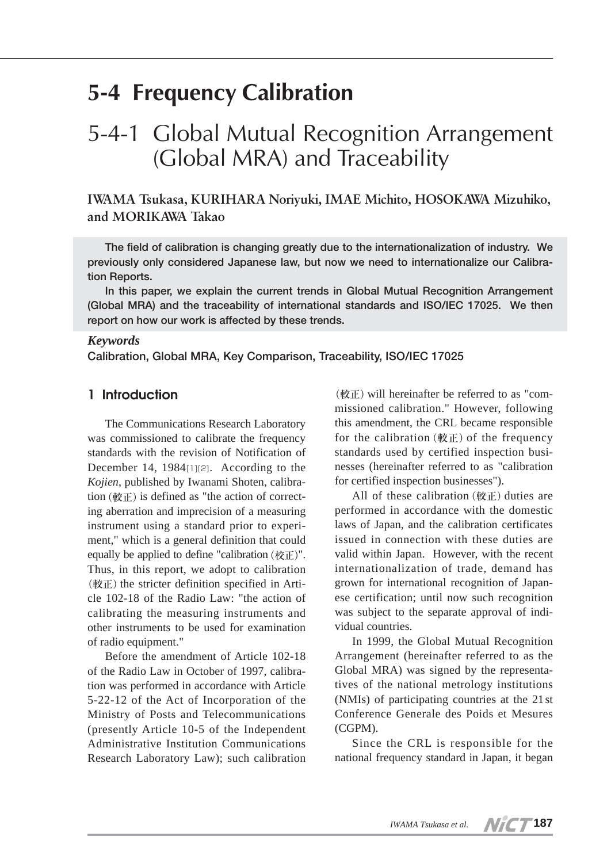# **5-4 Frequency Calibration**

# 5-4-1 Global Mutual Recognition Arrangement (Global MRA) and Traceability

**IWAMA Tsukasa, KURIHARA Noriyuki, IMAE Michito, HOSOKAWA Mizuhiko, and MORIKAWA Takao**

**The field of calibration is changing greatly due to the internationalization of industry. We previously only considered Japanese law, but now we need to internationalize our Calibration Reports.** 

**In this paper, we explain the current trends in Global Mutual Recognition Arrangement (Global MRA) and the traceability of international standards and ISO/IEC 17025. We then report on how our work is affected by these trends.**

### *Keywords*

**Calibration, Global MRA, Key Comparison, Traceability, ISO/IEC 17025**

# **1 Introduction**

The Communications Research Laboratory was commissioned to calibrate the frequency standards with the revision of Notification of December 14, 1984[1][2]. According to the *Kojien*, published by Iwanami Shoten, calibration  $(\nexists \mathbf{E})$  is defined as "the action of correcting aberration and imprecision of a measuring instrument using a standard prior to experiment," which is a general definition that could equally be applied to define "calibration(校正)". Thus, in this report, we adopt to calibration (較正) the stricter definition specified in Article 102-18 of the Radio Law: "the action of calibrating the measuring instruments and other instruments to be used for examination of radio equipment."

Before the amendment of Article 102-18 of the Radio Law in October of 1997, calibration was performed in accordance with Article 5-22-12 of the Act of Incorporation of the Ministry of Posts and Telecommunications (presently Article 10-5 of the Independent Administrative Institution Communications Research Laboratory Law); such calibration

 $(\text{m})$  will hereinafter be referred to as "commissioned calibration." However, following this amendment, the CRL became responsible for the calibration  $(\nexists \mathbf{E})$  of the frequency standards used by certified inspection businesses (hereinafter referred to as "calibration for certified inspection businesses").

All of these calibration  $(\nexists x \in \mathbb{R})$  duties are performed in accordance with the domestic laws of Japan, and the calibration certificates issued in connection with these duties are valid within Japan. However, with the recent internationalization of trade, demand has grown for international recognition of Japanese certification; until now such recognition was subject to the separate approval of individual countries.

In 1999, the Global Mutual Recognition Arrangement (hereinafter referred to as the Global MRA) was signed by the representatives of the national metrology institutions (NMIs) of participating countries at the 21st Conference Generale des Poids et Mesures (CGPM).

Since the CRL is responsible for the national frequency standard in Japan, it began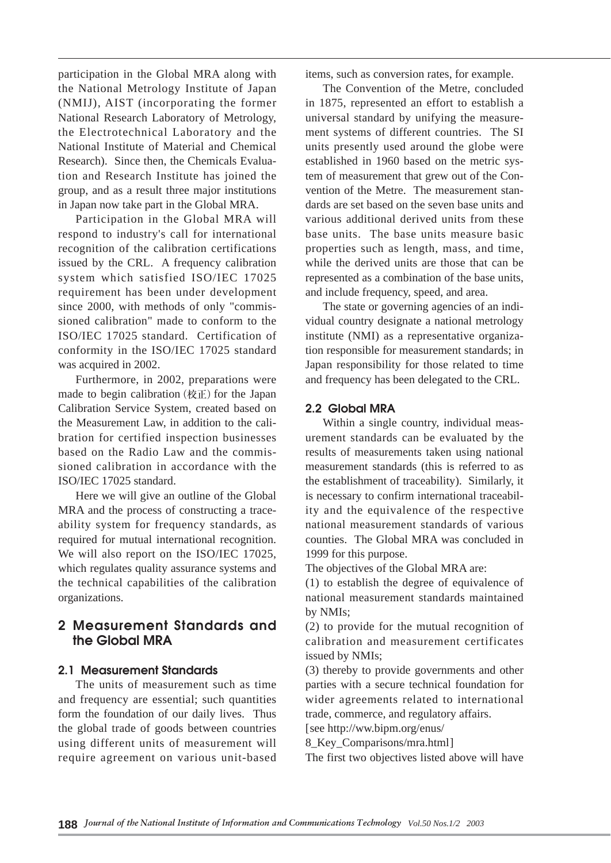participation in the Global MRA along with the National Metrology Institute of Japan (NMIJ), AIST (incorporating the former National Research Laboratory of Metrology, the Electrotechnical Laboratory and the National Institute of Material and Chemical Research). Since then, the Chemicals Evaluation and Research Institute has joined the group, and as a result three major institutions in Japan now take part in the Global MRA.

Participation in the Global MRA will respond to industry's call for international recognition of the calibration certifications issued by the CRL. A frequency calibration system which satisfied ISO/IEC 17025 requirement has been under development since 2000, with methods of only "commissioned calibration" made to conform to the ISO/IEC 17025 standard. Certification of conformity in the ISO/IEC 17025 standard was acquired in 2002.

Furthermore, in 2002, preparations were made to begin calibration (校正) for the Japan Calibration Service System, created based on the Measurement Law, in addition to the calibration for certified inspection businesses based on the Radio Law and the commissioned calibration in accordance with the ISO/IEC 17025 standard.

Here we will give an outline of the Global MRA and the process of constructing a traceability system for frequency standards, as required for mutual international recognition. We will also report on the ISO/IEC 17025, which regulates quality assurance systems and the technical capabilities of the calibration organizations.

# **2 Measurement Standards and the Global MRA**

## **2.1 Measurement Standards**

The units of measurement such as time and frequency are essential; such quantities form the foundation of our daily lives. Thus the global trade of goods between countries using different units of measurement will require agreement on various unit-based items, such as conversion rates, for example.

The Convention of the Metre, concluded in 1875, represented an effort to establish a universal standard by unifying the measurement systems of different countries. The SI units presently used around the globe were established in 1960 based on the metric system of measurement that grew out of the Convention of the Metre. The measurement standards are set based on the seven base units and various additional derived units from these base units. The base units measure basic properties such as length, mass, and time, while the derived units are those that can be represented as a combination of the base units, and include frequency, speed, and area.

The state or governing agencies of an individual country designate a national metrology institute (NMI) as a representative organization responsible for measurement standards; in Japan responsibility for those related to time and frequency has been delegated to the CRL.

### **2.2 Global MRA**

Within a single country, individual measurement standards can be evaluated by the results of measurements taken using national measurement standards (this is referred to as the establishment of traceability). Similarly, it is necessary to confirm international traceability and the equivalence of the respective national measurement standards of various counties. The Global MRA was concluded in 1999 for this purpose.

The objectives of the Global MRA are:

(1) to establish the degree of equivalence of national measurement standards maintained by NMIs;

(2) to provide for the mutual recognition of calibration and measurement certificates issued by NMIs;

(3) thereby to provide governments and other parties with a secure technical foundation for wider agreements related to international trade, commerce, and regulatory affairs.

[see http://ww.bipm.org/enus/

8\_Key\_Comparisons/mra.html]

The first two objectives listed above will have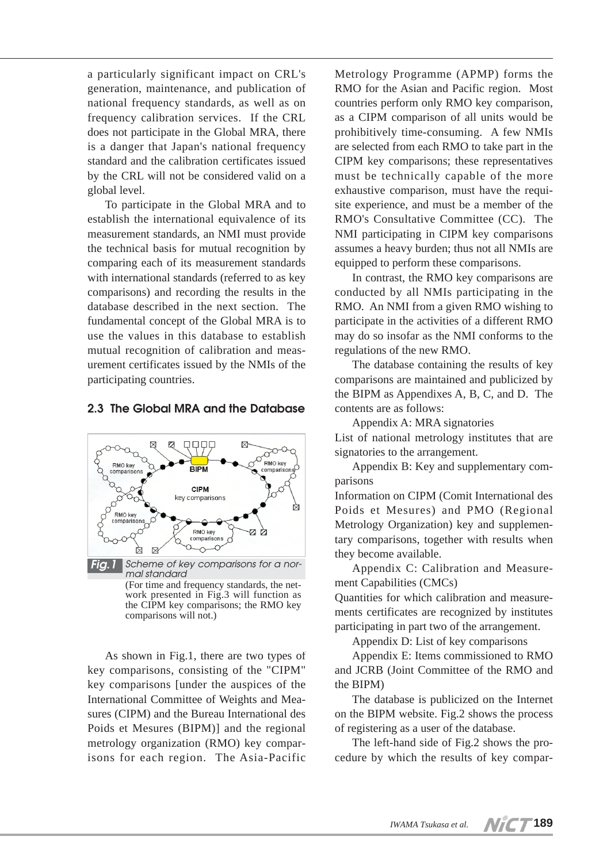a particularly significant impact on CRL's generation, maintenance, and publication of national frequency standards, as well as on frequency calibration services. If the CRL does not participate in the Global MRA, there is a danger that Japan's national frequency standard and the calibration certificates issued by the CRL will not be considered valid on a global level.

To participate in the Global MRA and to establish the international equivalence of its measurement standards, an NMI must provide the technical basis for mutual recognition by comparing each of its measurement standards with international standards (referred to as key comparisons) and recording the results in the database described in the next section. The fundamental concept of the Global MRA is to use the values in this database to establish mutual recognition of calibration and measurement certificates issued by the NMIs of the participating countries.

### **2.3 The Global MRA and the Database**



work presented in Fig.3 will function as the CIPM key comparisons; the RMO key comparisons will not.)

As shown in Fig.1, there are two types of key comparisons, consisting of the "CIPM" key comparisons [under the auspices of the International Committee of Weights and Measures (CIPM) and the Bureau International des Poids et Mesures (BIPM)] and the regional metrology organization (RMO) key comparisons for each region. The Asia-Pacific

Metrology Programme (APMP) forms the RMO for the Asian and Pacific region. Most countries perform only RMO key comparison, as a CIPM comparison of all units would be prohibitively time-consuming. A few NMIs are selected from each RMO to take part in the CIPM key comparisons; these representatives must be technically capable of the more exhaustive comparison, must have the requisite experience, and must be a member of the RMO's Consultative Committee (CC). The NMI participating in CIPM key comparisons assumes a heavy burden; thus not all NMIs are equipped to perform these comparisons.

In contrast, the RMO key comparisons are conducted by all NMIs participating in the RMO. An NMI from a given RMO wishing to participate in the activities of a different RMO may do so insofar as the NMI conforms to the regulations of the new RMO.

The database containing the results of key comparisons are maintained and publicized by the BIPM as Appendixes A, B, C, and D. The contents are as follows:

Appendix A: MRA signatories

List of national metrology institutes that are signatories to the arrangement.

Appendix B: Key and supplementary comparisons

Information on CIPM (Comit International des Poids et Mesures) and PMO (Regional Metrology Organization) key and supplementary comparisons, together with results when they become available.

Appendix C: Calibration and Measurement Capabilities (CMCs)

Quantities for which calibration and measurements certificates are recognized by institutes participating in part two of the arrangement.

Appendix D: List of key comparisons

Appendix E: Items commissioned to RMO and JCRB (Joint Committee of the RMO and the BIPM)

The database is publicized on the Internet on the BIPM website. Fig.2 shows the process of registering as a user of the database.

The left-hand side of Fig.2 shows the procedure by which the results of key compar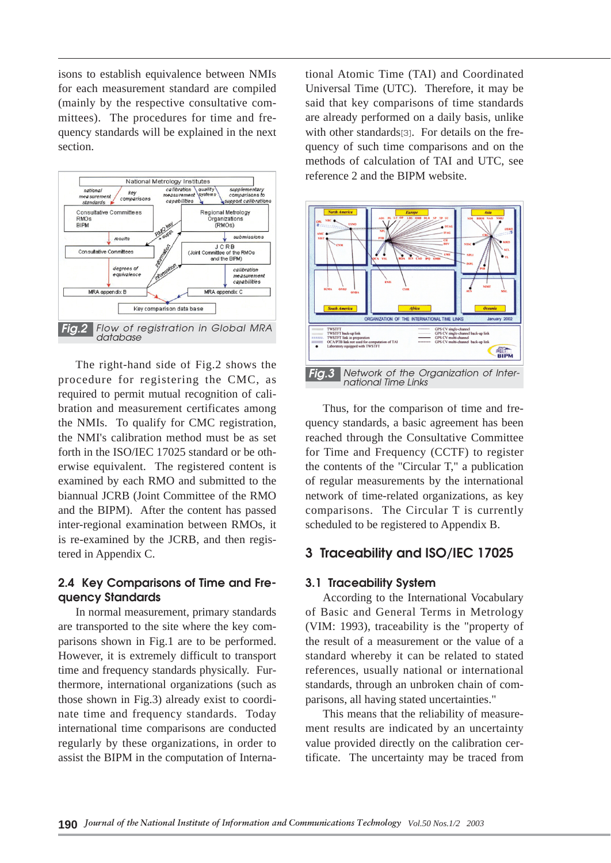isons to establish equivalence between NMIs for each measurement standard are compiled (mainly by the respective consultative committees). The procedures for time and frequency standards will be explained in the next section.



The right-hand side of Fig.2 shows the procedure for registering the CMC, as required to permit mutual recognition of calibration and measurement certificates among the NMIs. To qualify for CMC registration, the NMI's calibration method must be as set forth in the ISO/IEC 17025 standard or be otherwise equivalent. The registered content is examined by each RMO and submitted to the biannual JCRB (Joint Committee of the RMO and the BIPM). After the content has passed inter-regional examination between RMOs, it is re-examined by the JCRB, and then registered in Appendix C.

## **2.4 Key Comparisons of Time and Frequency Standards**

In normal measurement, primary standards are transported to the site where the key comparisons shown in Fig.1 are to be performed. However, it is extremely difficult to transport time and frequency standards physically. Furthermore, international organizations (such as those shown in Fig.3) already exist to coordinate time and frequency standards. Today international time comparisons are conducted regularly by these organizations, in order to assist the BIPM in the computation of International Atomic Time (TAI) and Coordinated Universal Time (UTC). Therefore, it may be said that key comparisons of time standards are already performed on a daily basis, unlike with other standards[3]. For details on the frequency of such time comparisons and on the methods of calculation of TAI and UTC, see reference 2 and the BIPM website.



Thus, for the comparison of time and frequency standards, a basic agreement has been reached through the Consultative Committee for Time and Frequency (CCTF) to register the contents of the "Circular T," a publication of regular measurements by the international network of time-related organizations, as key comparisons. The Circular T is currently scheduled to be registered to Appendix B.

# **3 Traceability and ISO/IEC 17025**

### **3.1 Traceability System**

According to the International Vocabulary of Basic and General Terms in Metrology (VIM: 1993), traceability is the "property of the result of a measurement or the value of a standard whereby it can be related to stated references, usually national or international standards, through an unbroken chain of comparisons, all having stated uncertainties."

This means that the reliability of measurement results are indicated by an uncertainty value provided directly on the calibration certificate. The uncertainty may be traced from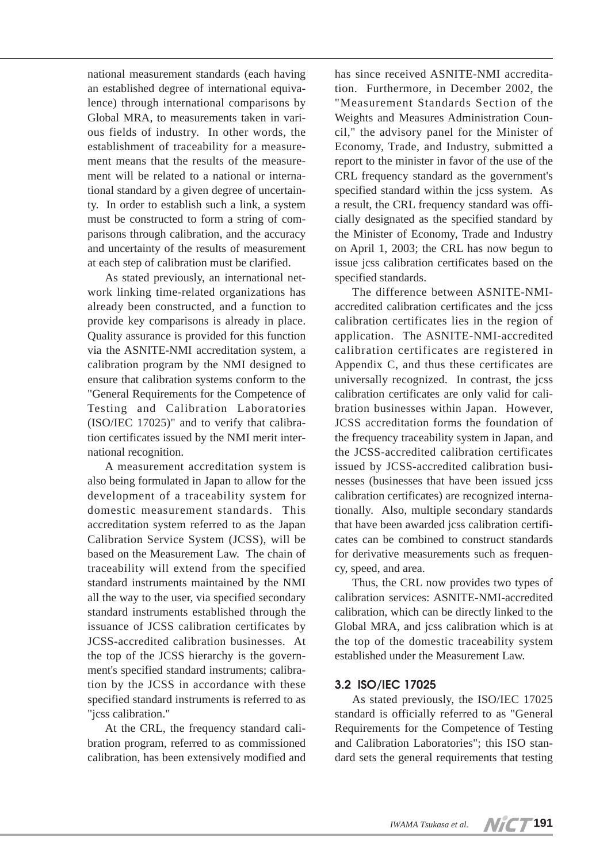national measurement standards (each having an established degree of international equivalence) through international comparisons by Global MRA, to measurements taken in various fields of industry. In other words, the establishment of traceability for a measurement means that the results of the measurement will be related to a national or international standard by a given degree of uncertainty. In order to establish such a link, a system must be constructed to form a string of comparisons through calibration, and the accuracy and uncertainty of the results of measurement at each step of calibration must be clarified.

As stated previously, an international network linking time-related organizations has already been constructed, and a function to provide key comparisons is already in place. Quality assurance is provided for this function via the ASNITE-NMI accreditation system, a calibration program by the NMI designed to ensure that calibration systems conform to the "General Requirements for the Competence of Testing and Calibration Laboratories (ISO/IEC 17025)" and to verify that calibration certificates issued by the NMI merit international recognition.

A measurement accreditation system is also being formulated in Japan to allow for the development of a traceability system for domestic measurement standards. This accreditation system referred to as the Japan Calibration Service System (JCSS), will be based on the Measurement Law. The chain of traceability will extend from the specified standard instruments maintained by the NMI all the way to the user, via specified secondary standard instruments established through the issuance of JCSS calibration certificates by JCSS-accredited calibration businesses. At the top of the JCSS hierarchy is the government's specified standard instruments; calibration by the JCSS in accordance with these specified standard instruments is referred to as "jcss calibration."

At the CRL, the frequency standard calibration program, referred to as commissioned calibration, has been extensively modified and has since received ASNITE-NMI accreditation. Furthermore, in December 2002, the "Measurement Standards Section of the Weights and Measures Administration Council," the advisory panel for the Minister of Economy, Trade, and Industry, submitted a report to the minister in favor of the use of the CRL frequency standard as the government's specified standard within the jcss system. As a result, the CRL frequency standard was officially designated as the specified standard by the Minister of Economy, Trade and Industry on April 1, 2003; the CRL has now begun to issue jcss calibration certificates based on the specified standards.

The difference between ASNITE-NMIaccredited calibration certificates and the jcss calibration certificates lies in the region of application. The ASNITE-NMI-accredited calibration certificates are registered in Appendix C, and thus these certificates are universally recognized. In contrast, the jcss calibration certificates are only valid for calibration businesses within Japan. However, JCSS accreditation forms the foundation of the frequency traceability system in Japan, and the JCSS-accredited calibration certificates issued by JCSS-accredited calibration businesses (businesses that have been issued jcss calibration certificates) are recognized internationally. Also, multiple secondary standards that have been awarded jcss calibration certificates can be combined to construct standards for derivative measurements such as frequency, speed, and area.

Thus, the CRL now provides two types of calibration services: ASNITE-NMI-accredited calibration, which can be directly linked to the Global MRA, and jcss calibration which is at the top of the domestic traceability system established under the Measurement Law.

# **3.2 ISO/IEC 17025**

As stated previously, the ISO/IEC 17025 standard is officially referred to as "General Requirements for the Competence of Testing and Calibration Laboratories"; this ISO standard sets the general requirements that testing

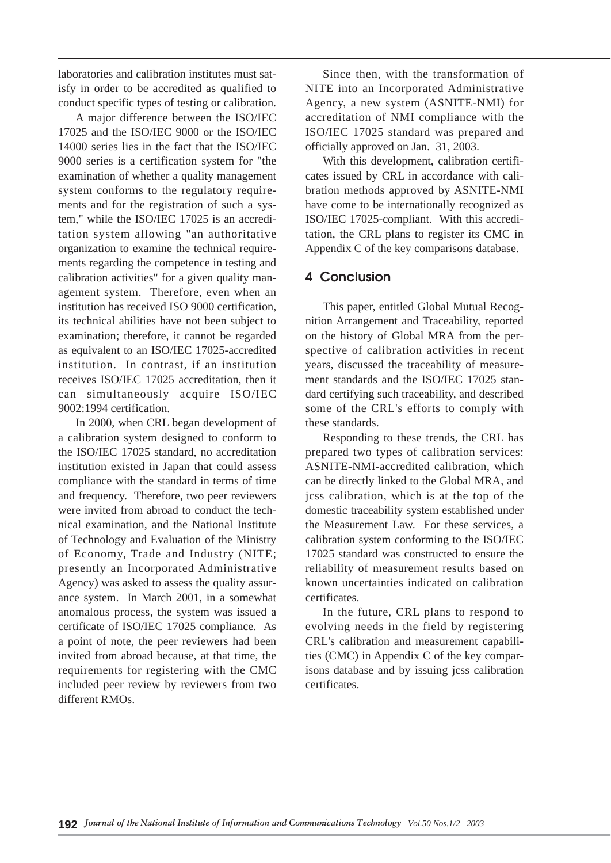laboratories and calibration institutes must satisfy in order to be accredited as qualified to conduct specific types of testing or calibration.

A major difference between the ISO/IEC 17025 and the ISO/IEC 9000 or the ISO/IEC 14000 series lies in the fact that the ISO/IEC 9000 series is a certification system for "the examination of whether a quality management system conforms to the regulatory requirements and for the registration of such a system," while the ISO/IEC 17025 is an accreditation system allowing "an authoritative organization to examine the technical requirements regarding the competence in testing and calibration activities" for a given quality management system. Therefore, even when an institution has received ISO 9000 certification, its technical abilities have not been subject to examination; therefore, it cannot be regarded as equivalent to an ISO/IEC 17025-accredited institution. In contrast, if an institution receives ISO/IEC 17025 accreditation, then it can simultaneously acquire ISO/IEC 9002:1994 certification.

In 2000, when CRL began development of a calibration system designed to conform to the ISO/IEC 17025 standard, no accreditation institution existed in Japan that could assess compliance with the standard in terms of time and frequency. Therefore, two peer reviewers were invited from abroad to conduct the technical examination, and the National Institute of Technology and Evaluation of the Ministry of Economy, Trade and Industry (NITE; presently an Incorporated Administrative Agency) was asked to assess the quality assurance system. In March 2001, in a somewhat anomalous process, the system was issued a certificate of ISO/IEC 17025 compliance. As a point of note, the peer reviewers had been invited from abroad because, at that time, the requirements for registering with the CMC included peer review by reviewers from two different RMOs.

Since then, with the transformation of NITE into an Incorporated Administrative Agency, a new system (ASNITE-NMI) for accreditation of NMI compliance with the ISO/IEC 17025 standard was prepared and officially approved on Jan. 31, 2003.

With this development, calibration certificates issued by CRL in accordance with calibration methods approved by ASNITE-NMI have come to be internationally recognized as ISO/IEC 17025-compliant. With this accreditation, the CRL plans to register its CMC in Appendix C of the key comparisons database.

# **4 Conclusion**

This paper, entitled Global Mutual Recognition Arrangement and Traceability, reported on the history of Global MRA from the perspective of calibration activities in recent years, discussed the traceability of measurement standards and the ISO/IEC 17025 standard certifying such traceability, and described some of the CRL's efforts to comply with these standards.

Responding to these trends, the CRL has prepared two types of calibration services: ASNITE-NMI-accredited calibration, which can be directly linked to the Global MRA, and jcss calibration, which is at the top of the domestic traceability system established under the Measurement Law. For these services, a calibration system conforming to the ISO/IEC 17025 standard was constructed to ensure the reliability of measurement results based on known uncertainties indicated on calibration certificates.

In the future, CRL plans to respond to evolving needs in the field by registering CRL's calibration and measurement capabilities (CMC) in Appendix C of the key comparisons database and by issuing jcss calibration certificates.